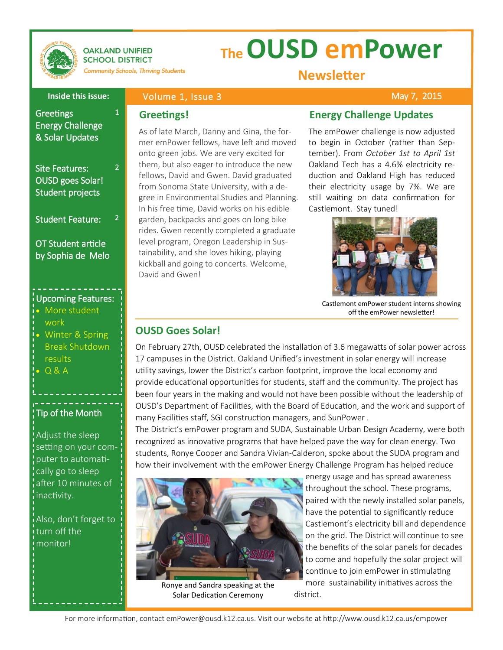

**OAKLAND UNIFIED SCHOOL DISTRICT** 

**Community Schools, Thriving Students** 

1

2

2

# **The OUSD emPower**

**Newsletter**

### **Inside this issue:**

## Volume 1, Issue 3

**Greetings!**

### May 7, 2015

**Greetings** Energy Challenge & Solar Updates

# Site Features: OUSD goes Solar! Student projects

Student Feature:

OT Student article by Sophia de Melo

### Upcoming Features:

- More student work
- Winter & Spring Break Shutdown results
- Q & A

# Tip of the Month

Adjust the sleep setting on your computer to automatically go to sleep after 10 minutes of inactivity.

Also, don't forget to turn off the monitor!

As of late March, Danny and Gina, the former emPower fellows, have left and moved onto green jobs. We are very excited for them, but also eager to introduce the new fellows, David and Gwen. David graduated from Sonoma State University, with a degree in Environmental Studies and Planning. In his free time, David works on his edible garden, backpacks and goes on long bike rides. Gwen recently completed a graduate level program, Oregon Leadership in Sustainability, and she loves hiking, playing kickball and going to concerts. Welcome, David and Gwen!

# **Energy Challenge Updates**

The emPower challenge is now adjusted to begin in October (rather than September). From *October 1st to April 1st*  Oakland Tech has a 4.6% electricity reduction and Oakland High has reduced their electricity usage by 7%. We are still waiting on data confirmation for Castlemont. Stay tuned!



Castlemont emPower student interns showing off the emPower newsletter!

# **OUSD Goes Solar!**

On February 27th, OUSD celebrated the installation of 3.6 megawatts of solar power across 17 campuses in the District. Oakland Unified's investment in solar energy will increase utility savings, lower the District's carbon footprint, improve the local economy and provide educational opportunities for students, staff and the community. The project has been four years in the making and would not have been possible without the leadership of OUSD's Department of Facilities, with the Board of Education, and the work and support of many Facilities staff, SGI construction managers, and SunPower .

The District's emPower program and SUDA, Sustainable Urban Design Academy, were both recognized as innovative programs that have helped pave the way for clean energy. Two students, Ronye Cooper and Sandra Vivian-Calderon, spoke about the SUDA program and how their involvement with the emPower Energy Challenge Program has helped reduce



Ronye and Sandra speaking at the Solar Dedication Ceremony

energy usage and has spread awareness throughout the school. These programs, paired with the newly installed solar panels, have the potential to significantly reduce Castlemont's electricity bill and dependence on the grid. The District will continue to see the benefits of the solar panels for decades to come and hopefully the solar project will continue to join emPower in stimulating more sustainability initiatives across the district.

For more information, contact emPower@ousd.k12.ca.us. Visit our website at http://www.ousd.k12.ca.us/empower